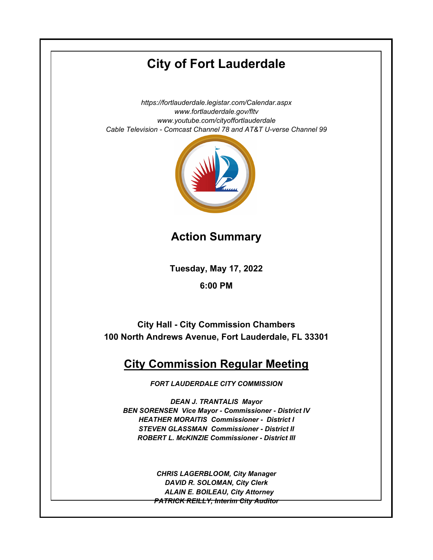# **City of Fort Lauderdale**

*https://fortlauderdale.legistar.com/Calendar.aspx www.fortlauderdale.gov/fltv www.youtube.com/cityoffortlauderdale Cable Television - Comcast Channel 78 and AT&T U-verse Channel 99*



**Action Summary**

**Tuesday, May 17, 2022**

**6:00 PM**

**City Hall - City Commission Chambers 100 North Andrews Avenue, Fort Lauderdale, FL 33301**

# **City Commission Regular Meeting**

*FORT LAUDERDALE CITY COMMISSION*

*DEAN J. TRANTALIS Mayor BEN SORENSEN Vice Mayor - Commissioner - District IV HEATHER MORAITIS Commissioner - District I STEVEN GLASSMAN Commissioner - District II ROBERT L. McKINZIE Commissioner - District III*

> *CHRIS LAGERBLOOM, City Manager DAVID R. SOLOMAN, City Clerk ALAIN E. BOILEAU, City Attorney PATRICK REILLY, Interim City Auditor*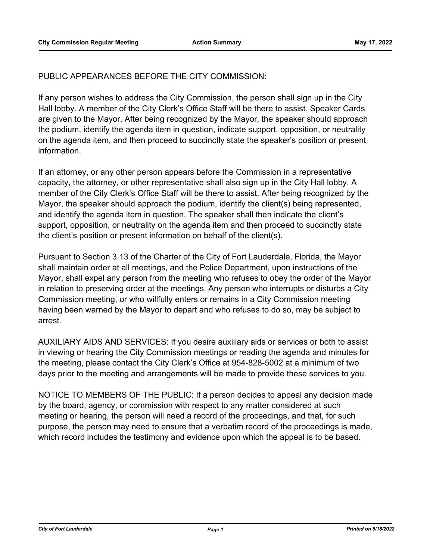# PUBLIC APPEARANCES BEFORE THE CITY COMMISSION:

If any person wishes to address the City Commission, the person shall sign up in the City Hall lobby. A member of the City Clerk's Office Staff will be there to assist. Speaker Cards are given to the Mayor. After being recognized by the Mayor, the speaker should approach the podium, identify the agenda item in question, indicate support, opposition, or neutrality on the agenda item, and then proceed to succinctly state the speaker's position or present information.

If an attorney, or any other person appears before the Commission in a representative capacity, the attorney, or other representative shall also sign up in the City Hall lobby. A member of the City Clerk's Office Staff will be there to assist. After being recognized by the Mayor, the speaker should approach the podium, identify the client(s) being represented, and identify the agenda item in question. The speaker shall then indicate the client's support, opposition, or neutrality on the agenda item and then proceed to succinctly state the client's position or present information on behalf of the client(s).

Pursuant to Section 3.13 of the Charter of the City of Fort Lauderdale, Florida, the Mayor shall maintain order at all meetings, and the Police Department, upon instructions of the Mayor, shall expel any person from the meeting who refuses to obey the order of the Mayor in relation to preserving order at the meetings. Any person who interrupts or disturbs a City Commission meeting, or who willfully enters or remains in a City Commission meeting having been warned by the Mayor to depart and who refuses to do so, may be subject to arrest.

AUXILIARY AIDS AND SERVICES: If you desire auxiliary aids or services or both to assist in viewing or hearing the City Commission meetings or reading the agenda and minutes for the meeting, please contact the City Clerk's Office at 954-828-5002 at a minimum of two days prior to the meeting and arrangements will be made to provide these services to you.

NOTICE TO MEMBERS OF THE PUBLIC: If a person decides to appeal any decision made by the board, agency, or commission with respect to any matter considered at such meeting or hearing, the person will need a record of the proceedings, and that, for such purpose, the person may need to ensure that a verbatim record of the proceedings is made, which record includes the testimony and evidence upon which the appeal is to be based.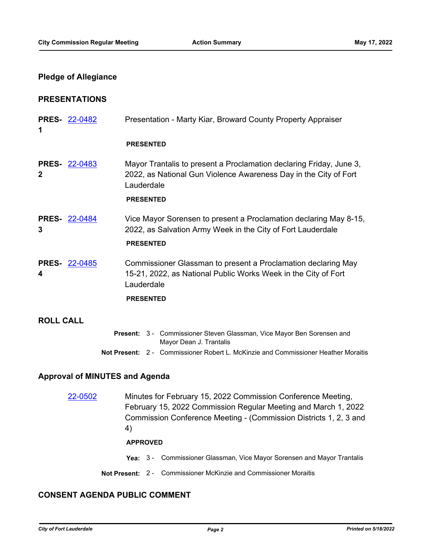# **Pledge of Allegiance**

# **PRESENTATIONS**

| 1                                     | <b>PRES- 22-0482</b> | Presentation - Marty Kiar, Broward County Property Appraiser                                                                                                                                                                 |
|---------------------------------------|----------------------|------------------------------------------------------------------------------------------------------------------------------------------------------------------------------------------------------------------------------|
|                                       |                      | <b>PRESENTED</b>                                                                                                                                                                                                             |
| 2                                     | <b>PRES- 22-0483</b> | Mayor Trantalis to present a Proclamation declaring Friday, June 3,<br>2022, as National Gun Violence Awareness Day in the City of Fort<br>Lauderdale<br><b>PRESENTED</b>                                                    |
| 3                                     | <b>PRES- 22-0484</b> | Vice Mayor Sorensen to present a Proclamation declaring May 8-15,<br>2022, as Salvation Army Week in the City of Fort Lauderdale<br><b>PRESENTED</b>                                                                         |
| 4                                     | <b>PRES- 22-0485</b> | Commissioner Glassman to present a Proclamation declaring May<br>15-21, 2022, as National Public Works Week in the City of Fort<br>Lauderdale                                                                                |
|                                       |                      | <b>PRESENTED</b>                                                                                                                                                                                                             |
| <b>ROLL CALL</b>                      |                      |                                                                                                                                                                                                                              |
|                                       |                      | Present: 3 - Commissioner Steven Glassman, Vice Mayor Ben Sorensen and<br>Mayor Dean J. Trantalis                                                                                                                            |
|                                       |                      | Not Present: 2 - Commissioner Robert L. McKinzie and Commissioner Heather Moraitis                                                                                                                                           |
| <b>Approval of MINUTES and Agenda</b> |                      |                                                                                                                                                                                                                              |
|                                       | 22-0502              | Minutes for February 15, 2022 Commission Conference Meeting,<br>February 15, 2022 Commission Regular Meeting and March 1, 2022<br>Commission Conference Meeting - (Commission Districts 1, 2, 3 and<br>4)<br><b>APPROVED</b> |
|                                       |                      | Yea: 3 - Commissioner Glassman, Vice Mayor Sorensen and Mayor Trantalis                                                                                                                                                      |

**Not Present:** 2 - Commissioner McKinzie and Commissioner Moraitis

# **CONSENT AGENDA PUBLIC COMMENT**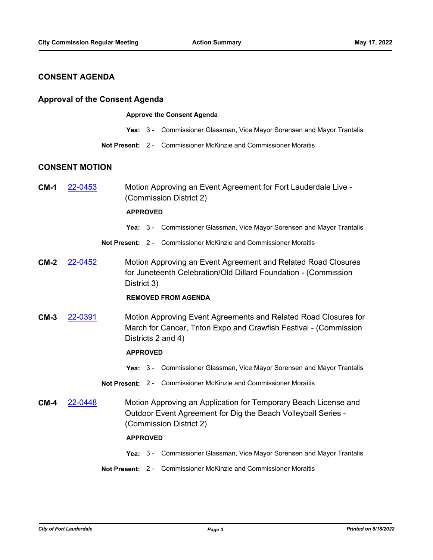# **CONSENT AGENDA**

#### **Approval of the Consent Agenda**

#### **Approve the Consent Agenda**

- **Yea:** 3 Commissioner Glassman, Vice Mayor Sorensen and Mayor Trantalis
- **Not Present:** 2 Commissioner McKinzie and Commissioner Moraitis

# **CONSENT MOTION**

**CM-1** [22-0453](http://fortlauderdale.legistar.com/gateway.aspx?m=l&id=/matter.aspx?key=16573) Motion Approving an Event Agreement for Fort Lauderdale Live - (Commission District 2)

#### **APPROVED**

- **Yea:** 3 Commissioner Glassman, Vice Mayor Sorensen and Mayor Trantalis
- **Not Present:** 2 Commissioner McKinzie and Commissioner Moraitis
- **CM-2** [22-0452](http://fortlauderdale.legistar.com/gateway.aspx?m=l&id=/matter.aspx?key=16572) Motion Approving an Event Agreement and Related Road Closures for Juneteenth Celebration/Old Dillard Foundation - (Commission District 3)

#### **REMOVED FROM AGENDA**

**CM-3** [22-0391](http://fortlauderdale.legistar.com/gateway.aspx?m=l&id=/matter.aspx?key=16511) Motion Approving Event Agreements and Related Road Closures for March for Cancer, Triton Expo and Crawfish Festival - (Commission Districts 2 and 4)

#### **APPROVED**

- **Yea:** 3 Commissioner Glassman, Vice Mayor Sorensen and Mayor Trantalis
- **Not Present:** 2 Commissioner McKinzie and Commissioner Moraitis
- **CM-4** [22-0448](http://fortlauderdale.legistar.com/gateway.aspx?m=l&id=/matter.aspx?key=16568) Motion Approving an Application for Temporary Beach License and Outdoor Event Agreement for Dig the Beach Volleyball Series - (Commission District 2)

#### **APPROVED**

- **Yea:** 3 Commissioner Glassman, Vice Mayor Sorensen and Mayor Trantalis
- **Not Present:** 2 Commissioner McKinzie and Commissioner Moraitis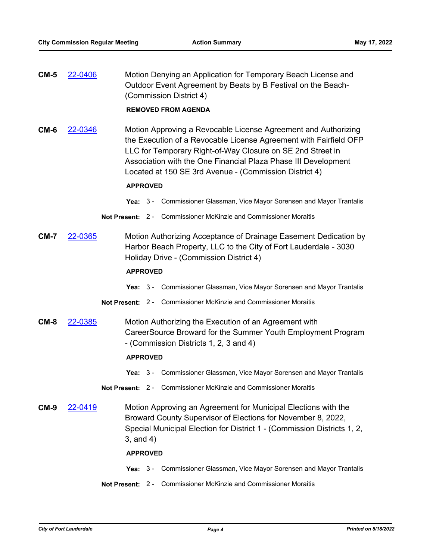**CM-5** [22-0406](http://fortlauderdale.legistar.com/gateway.aspx?m=l&id=/matter.aspx?key=16526) Motion Denying an Application for Temporary Beach License and Outdoor Event Agreement by Beats by B Festival on the Beach- (Commission District 4)

#### **REMOVED FROM AGENDA**

**CM-6** [22-0346](http://fortlauderdale.legistar.com/gateway.aspx?m=l&id=/matter.aspx?key=16466) Motion Approving a Revocable License Agreement and Authorizing the Execution of a Revocable License Agreement with Fairfield OFP LLC for Temporary Right-of-Way Closure on SE 2nd Street in Association with the One Financial Plaza Phase III Development Located at 150 SE 3rd Avenue - (Commission District 4)

#### **APPROVED**

- **Yea:** 3 Commissioner Glassman, Vice Mayor Sorensen and Mayor Trantalis
- **Not Present:** 2 Commissioner McKinzie and Commissioner Moraitis
- **CM-7** [22-0365](http://fortlauderdale.legistar.com/gateway.aspx?m=l&id=/matter.aspx?key=16485) Motion Authorizing Acceptance of Drainage Easement Dedication by Harbor Beach Property, LLC to the City of Fort Lauderdale - 3030 Holiday Drive - (Commission District 4)

#### **APPROVED**

- **Yea:** 3 Commissioner Glassman, Vice Mayor Sorensen and Mayor Trantalis
- **Not Present:** 2 Commissioner McKinzie and Commissioner Moraitis
- **CM-8** [22-0385](http://fortlauderdale.legistar.com/gateway.aspx?m=l&id=/matter.aspx?key=16505) Motion Authorizing the Execution of an Agreement with CareerSource Broward for the Summer Youth Employment Program - (Commission Districts 1, 2, 3 and 4)

#### **APPROVED**

- **Yea:** 3 Commissioner Glassman, Vice Mayor Sorensen and Mayor Trantalis
- **Not Present:** 2 Commissioner McKinzie and Commissioner Moraitis
- **CM-9** [22-0419](http://fortlauderdale.legistar.com/gateway.aspx?m=l&id=/matter.aspx?key=16539) Motion Approving an Agreement for Municipal Elections with the Broward County Supervisor of Elections for November 8, 2022, Special Municipal Election for District 1 - (Commission Districts 1, 2, 3, and 4)

#### **APPROVED**

- **Yea:** 3 Commissioner Glassman, Vice Mayor Sorensen and Mayor Trantalis
- **Not Present:** 2 Commissioner McKinzie and Commissioner Moraitis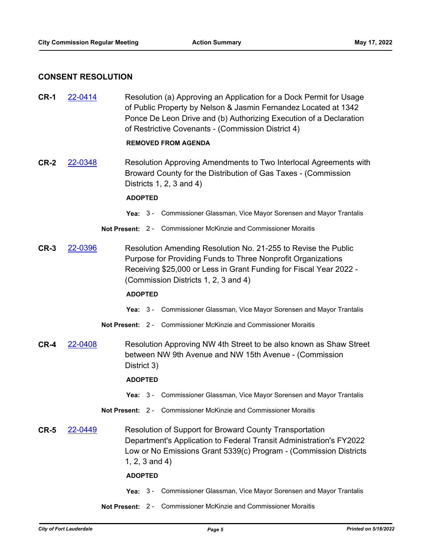### **CONSENT RESOLUTION**

**CR-1** [22-0414](http://fortlauderdale.legistar.com/gateway.aspx?m=l&id=/matter.aspx?key=16534) Resolution (a) Approving an Application for a Dock Permit for Usage of Public Property by Nelson & Jasmin Fernandez Located at 1342 Ponce De Leon Drive and (b) Authorizing Execution of a Declaration of Restrictive Covenants - (Commission District 4)

#### **REMOVED FROM AGENDA**

**CR-2** [22-0348](http://fortlauderdale.legistar.com/gateway.aspx?m=l&id=/matter.aspx?key=16468) Resolution Approving Amendments to Two Interlocal Agreements with Broward County for the Distribution of Gas Taxes - (Commission Districts 1, 2, 3 and 4)

#### **ADOPTED**

- **Yea:** 3 Commissioner Glassman, Vice Mayor Sorensen and Mayor Trantalis
- **Not Present:** 2 Commissioner McKinzie and Commissioner Moraitis
- **CR-3** [22-0396](http://fortlauderdale.legistar.com/gateway.aspx?m=l&id=/matter.aspx?key=16516) Resolution Amending Resolution No. 21-255 to Revise the Public Purpose for Providing Funds to Three Nonprofit Organizations Receiving \$25,000 or Less in Grant Funding for Fiscal Year 2022 - (Commission Districts 1, 2, 3 and 4)

#### **ADOPTED**

- **Yea:** 3 Commissioner Glassman, Vice Mayor Sorensen and Mayor Trantalis
- **Not Present:** 2 Commissioner McKinzie and Commissioner Moraitis
- **CR-4** [22-0408](http://fortlauderdale.legistar.com/gateway.aspx?m=l&id=/matter.aspx?key=16528) Resolution Approving NW 4th Street to be also known as Shaw Street between NW 9th Avenue and NW 15th Avenue - (Commission District 3)

#### **ADOPTED**

- **Yea:** 3 Commissioner Glassman, Vice Mayor Sorensen and Mayor Trantalis
- **Not Present:** 2 Commissioner McKinzie and Commissioner Moraitis

**CR-5** [22-0449](http://fortlauderdale.legistar.com/gateway.aspx?m=l&id=/matter.aspx?key=16569) Resolution of Support for Broward County Transportation Department's Application to Federal Transit Administration's FY2022 Low or No Emissions Grant 5339(c) Program - (Commission Districts 1, 2, 3 and 4)

- **Yea:** 3 Commissioner Glassman, Vice Mayor Sorensen and Mayor Trantalis
- **Not Present:** 2 Commissioner McKinzie and Commissioner Moraitis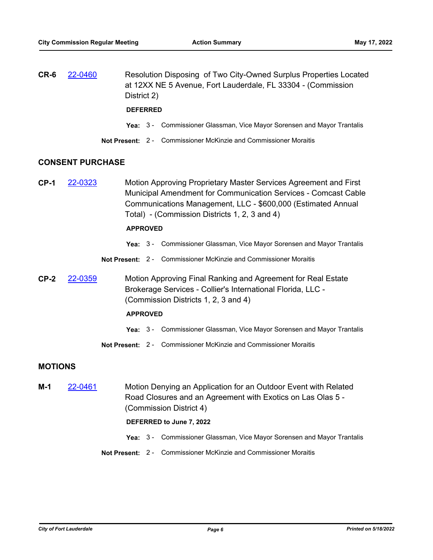**CR-6** [22-0460](http://fortlauderdale.legistar.com/gateway.aspx?m=l&id=/matter.aspx?key=16580) Resolution Disposing of Two City-Owned Surplus Properties Located at 12XX NE 5 Avenue, Fort Lauderdale, FL 33304 - (Commission District 2)

#### **DEFERRED**

- **Yea:** 3 Commissioner Glassman, Vice Mayor Sorensen and Mayor Trantalis
- **Not Present:** 2 Commissioner McKinzie and Commissioner Moraitis

#### **CONSENT PURCHASE**

**CP-1** [22-0323](http://fortlauderdale.legistar.com/gateway.aspx?m=l&id=/matter.aspx?key=16443) Motion Approving Proprietary Master Services Agreement and First Municipal Amendment for Communication Services - Comcast Cable Communications Management, LLC - \$600,000 (Estimated Annual Total) - (Commission Districts 1, 2, 3 and 4)

#### **APPROVED**

- **Yea:** 3 Commissioner Glassman, Vice Mayor Sorensen and Mayor Trantalis
- **Not Present:** 2 Commissioner McKinzie and Commissioner Moraitis
- **CP-2** [22-0359](http://fortlauderdale.legistar.com/gateway.aspx?m=l&id=/matter.aspx?key=16479) Motion Approving Final Ranking and Agreement for Real Estate Brokerage Services - Collier's International Florida, LLC - (Commission Districts 1, 2, 3 and 4)

#### **APPROVED**

- **Yea:** 3 Commissioner Glassman, Vice Mayor Sorensen and Mayor Trantalis
- **Not Present:** 2 Commissioner McKinzie and Commissioner Moraitis

# **MOTIONS**

**M-1** [22-0461](http://fortlauderdale.legistar.com/gateway.aspx?m=l&id=/matter.aspx?key=16581) Motion Denying an Application for an Outdoor Event with Related Road Closures and an Agreement with Exotics on Las Olas 5 - (Commission District 4)

#### **DEFERRED to June 7, 2022**

- **Yea:** 3 Commissioner Glassman, Vice Mayor Sorensen and Mayor Trantalis
- **Not Present:** 2 Commissioner McKinzie and Commissioner Moraitis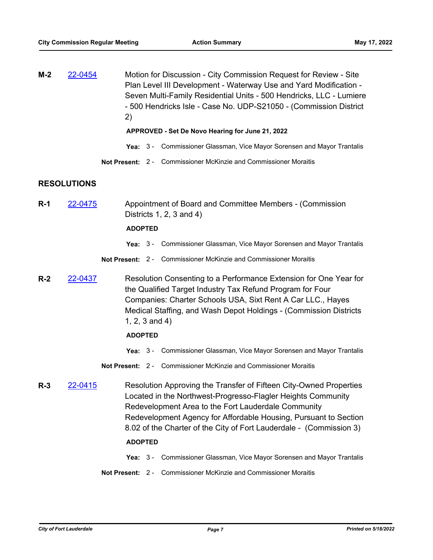**M-2** [22-0454](http://fortlauderdale.legistar.com/gateway.aspx?m=l&id=/matter.aspx?key=16574) Motion for Discussion - City Commission Request for Review - Site Plan Level III Development - Waterway Use and Yard Modification - Seven Multi-Family Residential Units - 500 Hendricks, LLC - Lumiere - 500 Hendricks Isle - Case No. UDP-S21050 - (Commission District 2)

**APPROVED - Set De Novo Hearing for June 21, 2022**

- **Yea:** 3 Commissioner Glassman, Vice Mayor Sorensen and Mayor Trantalis
- **Not Present:** 2 Commissioner McKinzie and Commissioner Moraitis

#### **RESOLUTIONS**

**R-1** [22-0475](http://fortlauderdale.legistar.com/gateway.aspx?m=l&id=/matter.aspx?key=16595) Appointment of Board and Committee Members - (Commission Districts 1, 2, 3 and 4)

#### **ADOPTED**

- **Yea:** 3 Commissioner Glassman, Vice Mayor Sorensen and Mayor Trantalis
- **Not Present:** 2 Commissioner McKinzie and Commissioner Moraitis
- **R-2** [22-0437](http://fortlauderdale.legistar.com/gateway.aspx?m=l&id=/matter.aspx?key=16557) Resolution Consenting to a Performance Extension for One Year for the Qualified Target Industry Tax Refund Program for Four Companies: Charter Schools USA, Sixt Rent A Car LLC., Hayes Medical Staffing, and Wash Depot Holdings - (Commission Districts 1, 2, 3 and 4)

# **ADOPTED**

- **Yea:** 3 Commissioner Glassman, Vice Mayor Sorensen and Mayor Trantalis
- **Not Present:** 2 Commissioner McKinzie and Commissioner Moraitis
- **R-3** [22-0415](http://fortlauderdale.legistar.com/gateway.aspx?m=l&id=/matter.aspx?key=16535) Resolution Approving the Transfer of Fifteen City-Owned Properties Located in the Northwest-Progresso-Flagler Heights Community Redevelopment Area to the Fort Lauderdale Community Redevelopment Agency for Affordable Housing, Pursuant to Section 8.02 of the Charter of the City of Fort Lauderdale - (Commission 3)

- **Yea:** 3 Commissioner Glassman, Vice Mayor Sorensen and Mayor Trantalis
- **Not Present:** 2 Commissioner McKinzie and Commissioner Moraitis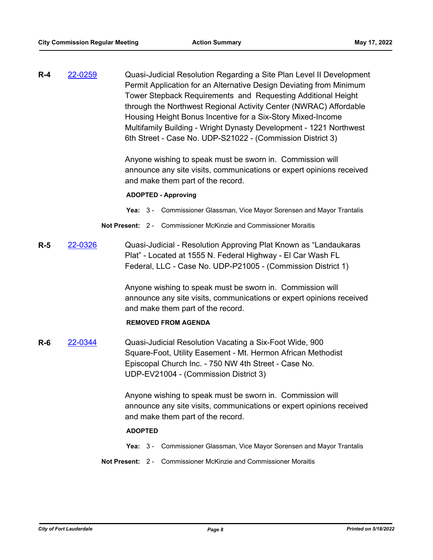**R-4** [22-0259](http://fortlauderdale.legistar.com/gateway.aspx?m=l&id=/matter.aspx?key=16379) Quasi-Judicial Resolution Regarding a Site Plan Level II Development Permit Application for an Alternative Design Deviating from Minimum Tower Stepback Requirements and Requesting Additional Height through the Northwest Regional Activity Center (NWRAC) Affordable Housing Height Bonus Incentive for a Six-Story Mixed-Income Multifamily Building - Wright Dynasty Development - 1221 Northwest 6th Street - Case No. UDP-S21022 - (Commission District 3)

> Anyone wishing to speak must be sworn in. Commission will announce any site visits, communications or expert opinions received and make them part of the record.

#### **ADOPTED - Approving**

- **Yea:** 3 Commissioner Glassman, Vice Mayor Sorensen and Mayor Trantalis
- **Not Present:** 2 Commissioner McKinzie and Commissioner Moraitis
- **R-5** [22-0326](http://fortlauderdale.legistar.com/gateway.aspx?m=l&id=/matter.aspx?key=16446) Quasi-Judicial Resolution Approving Plat Known as "Landaukaras Plat" - Located at 1555 N. Federal Highway - El Car Wash FL Federal, LLC - Case No. UDP-P21005 - (Commission District 1)

Anyone wishing to speak must be sworn in. Commission will announce any site visits, communications or expert opinions received and make them part of the record.

#### **REMOVED FROM AGENDA**

**R-6** [22-0344](http://fortlauderdale.legistar.com/gateway.aspx?m=l&id=/matter.aspx?key=16464) Quasi-Judicial Resolution Vacating a Six-Foot Wide, 900 Square-Foot, Utility Easement - Mt. Hermon African Methodist Episcopal Church Inc. - 750 NW 4th Street - Case No. UDP-EV21004 - (Commission District 3)

> Anyone wishing to speak must be sworn in. Commission will announce any site visits, communications or expert opinions received and make them part of the record.

- **Yea:** 3 Commissioner Glassman, Vice Mayor Sorensen and Mayor Trantalis
- **Not Present:** 2 Commissioner McKinzie and Commissioner Moraitis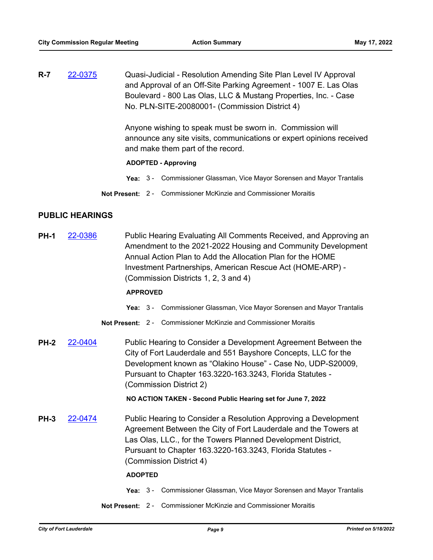**R-7** [22-0375](http://fortlauderdale.legistar.com/gateway.aspx?m=l&id=/matter.aspx?key=16495) Quasi-Judicial - Resolution Amending Site Plan Level IV Approval and Approval of an Off-Site Parking Agreement - 1007 E. Las Olas Boulevard - 800 Las Olas, LLC & Mustang Properties, Inc. - Case No. PLN-SITE-20080001- (Commission District 4)

> Anyone wishing to speak must be sworn in. Commission will announce any site visits, communications or expert opinions received and make them part of the record.

#### **ADOPTED - Approving**

- **Yea:** 3 Commissioner Glassman, Vice Mayor Sorensen and Mayor Trantalis
- **Not Present:** 2 Commissioner McKinzie and Commissioner Moraitis

# **PUBLIC HEARINGS**

**PH-1** [22-0386](http://fortlauderdale.legistar.com/gateway.aspx?m=l&id=/matter.aspx?key=16506) Public Hearing Evaluating All Comments Received, and Approving an Amendment to the 2021-2022 Housing and Community Development Annual Action Plan to Add the Allocation Plan for the HOME Investment Partnerships, American Rescue Act (HOME-ARP) - (Commission Districts 1, 2, 3 and 4)

#### **APPROVED**

- **Yea:** 3 Commissioner Glassman, Vice Mayor Sorensen and Mayor Trantalis
- **Not Present:** 2 Commissioner McKinzie and Commissioner Moraitis
- **PH-2** [22-0404](http://fortlauderdale.legistar.com/gateway.aspx?m=l&id=/matter.aspx?key=16524) Public Hearing to Consider a Development Agreement Between the City of Fort Lauderdale and 551 Bayshore Concepts, LLC for the Development known as "Olakino House" - Case No, UDP-S20009, Pursuant to Chapter 163.3220-163.3243, Florida Statutes - (Commission District 2)

**NO ACTION TAKEN - Second Public Hearing set for June 7, 2022**

**PH-3** [22-0474](http://fortlauderdale.legistar.com/gateway.aspx?m=l&id=/matter.aspx?key=16594) Public Hearing to Consider a Resolution Approving a Development Agreement Between the City of Fort Lauderdale and the Towers at Las Olas, LLC., for the Towers Planned Development District, Pursuant to Chapter 163.3220-163.3243, Florida Statutes - (Commission District 4)

- **Yea:** 3 Commissioner Glassman, Vice Mayor Sorensen and Mayor Trantalis
- **Not Present:** 2 Commissioner McKinzie and Commissioner Moraitis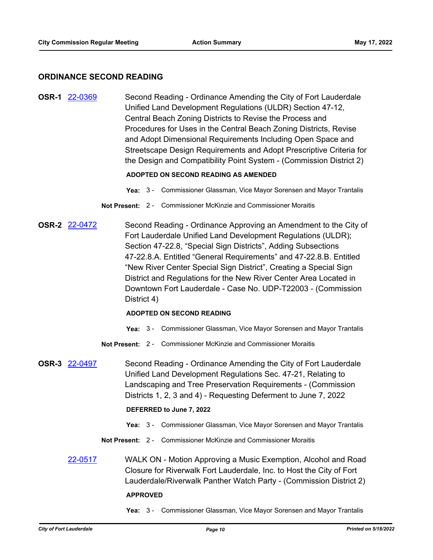# **ORDINANCE SECOND READING**

**OSR-1** [22-0369](http://fortlauderdale.legistar.com/gateway.aspx?m=l&id=/matter.aspx?key=16489) Second Reading - Ordinance Amending the City of Fort Lauderdale Unified Land Development Regulations (ULDR) Section 47-12, Central Beach Zoning Districts to Revise the Process and Procedures for Uses in the Central Beach Zoning Districts, Revise and Adopt Dimensional Requirements Including Open Space and Streetscape Design Requirements and Adopt Prescriptive Criteria for the Design and Compatibility Point System - (Commission District 2)

# **ADOPTED ON SECOND READING AS AMENDED**

- **Yea:** 3 Commissioner Glassman, Vice Mayor Sorensen and Mayor Trantalis
- **Not Present:** 2 Commissioner McKinzie and Commissioner Moraitis
- **OSR-2** [22-0472](http://fortlauderdale.legistar.com/gateway.aspx?m=l&id=/matter.aspx?key=16592) Second Reading Ordinance Approving an Amendment to the City of Fort Lauderdale Unified Land Development Regulations (ULDR); Section 47-22.8, "Special Sign Districts", Adding Subsections 47-22.8.A. Entitled "General Requirements" and 47-22.8.B. Entitled "New River Center Special Sign District", Creating a Special Sign District and Regulations for the New River Center Area Located in Downtown Fort Lauderdale - Case No. UDP-T22003 - (Commission District 4)

# **ADOPTED ON SECOND READING**

- **Yea:** 3 Commissioner Glassman, Vice Mayor Sorensen and Mayor Trantalis
- **Not Present:** 2 Commissioner McKinzie and Commissioner Moraitis
- **OSR-3** [22-0497](http://fortlauderdale.legistar.com/gateway.aspx?m=l&id=/matter.aspx?key=16617) Second Reading Ordinance Amending the City of Fort Lauderdale Unified Land Development Regulations Sec. 47-21, Relating to Landscaping and Tree Preservation Requirements - (Commission Districts 1, 2, 3 and 4) - Requesting Deferment to June 7, 2022

#### **DEFERRED to June 7, 2022**

- **Yea:** 3 Commissioner Glassman, Vice Mayor Sorensen and Mayor Trantalis
- **Not Present:** 2 Commissioner McKinzie and Commissioner Moraitis
- [22-0517](http://fortlauderdale.legistar.com/gateway.aspx?m=l&id=/matter.aspx?key=16637) WALK ON Motion Approving a Music Exemption, Alcohol and Road Closure for Riverwalk Fort Lauderdale, Inc. to Host the City of Fort Lauderdale/Riverwalk Panther Watch Party - (Commission District 2) **APPROVED**
	- **Yea:** 3 Commissioner Glassman, Vice Mayor Sorensen and Mayor Trantalis